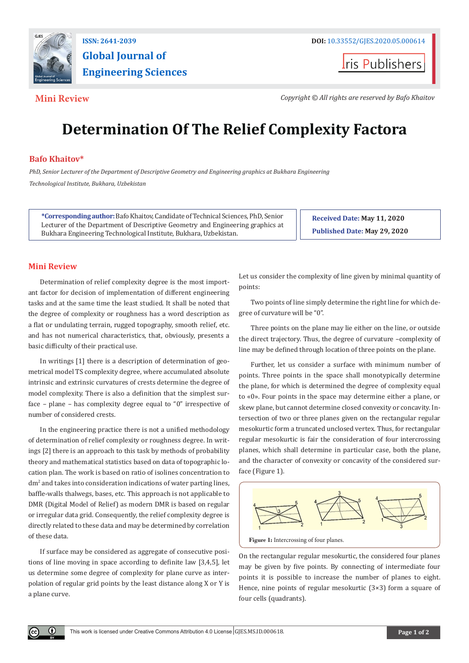

## **ISSN: 2641-2039 DOI: [10.33552/GJES.2020.05.000614](http://dx.doi.org/10.33552/GJES.2020.05.000614) Global Journal of Engineering Sciences**

**Iris Publishers** 

**Mini Review** *Copyright © All rights are reserved by Bafo Khaitov**Copyright © All rights are reserved by Bafo Khaitov* 

# **Determination Of The Relief Complexity Factora**

### **Bafo Khaitov\***

*PhD, Senior Lecturer of the Department of Descriptive Geometry and Engineering graphics at Bukhara Engineering Technological Institute, Bukhara, Uzbekistan*

**\*Corresponding author:**Bafo Khaitov, Candidate of Technical Sciences, PhD, Senior Lecturer of the Department of Descriptive Geometry and Engineering graphics at Bukhara Engineering Technological Institute, Bukhara, Uzbekistan.

**Received Date: May 11, 2020 Published Date: May 29, 2020**

#### **Mini Review**

 $\left( \mathbf{r} \right)$ 

Determination of relief complexity degree is the most important factor for decision of implementation of different engineering tasks and at the same time the least studied. It shall be noted that the degree of complexity or roughness has a word description as a flat or undulating terrain, rugged topography, smooth relief, etc. and has not numerical characteristics, that, obviously, presents a basic difficulty of their practical use.

In writings [1] there is a description of determination of geometrical model TS complexity degree, where accumulated absolute intrinsic and extrinsic curvatures of crests determine the degree of model complexity. There is also a definition that the simplest surface – plane – has complexity degree equal to "0" irrespective of number of considered crests.

In the engineering practice there is not a unified methodology of determination of relief complexity or roughness degree. In writings [2] there is an approach to this task by methods of probability theory and mathematical statistics based on data of topographic location plan. The work is based on ratio of isolines concentration to dm2 and takes into consideration indications of water parting lines, baffle-walls thalwegs, bases, etc. This approach is not applicable to DMR (Digital Model of Relief) as modern DMR is based on regular or irregular data grid. Consequently, the relief complexity degree is directly related to these data and may be determined by correlation of these data.

If surface may be considered as aggregate of consecutive positions of line moving in space according to definite law [3,4,5], let us determine some degree of complexity for plane curve as interpolation of regular grid points by the least distance along X or Y is a plane curve.

Let us consider the complexity of line given by minimal quantity of points:

Two points of line simply determine the right line for which degree of curvature will be "0".

Three points on the plane may lie either on the line, or outside the direct trajectory. Thus, the degree of curvature –complexity of line may be defined through location of three points on the plane.

Further, let us consider a surface with minimum number of points. Three points in the space shall monotypically determine the plane, for which is determined the degree of complexity equal to «0». Four points in the space may determine either a plane, or skew plane, but cannot determine closed convexity or concavity. Intersection of two or three planes given on the rectangular regular mesokurtic form a truncated unclosed vertex. Thus, for rectangular regular mesokurtic is fair the consideration of four intercrossing planes, which shall determine in particular case, both the plane, and the character of convexity or concavity of the considered surface (Figure 1).



On the rectangular regular mesokurtic, the considered four planes may be given by five points. By connecting of intermediate four points it is possible to increase the number of planes to eight. Hence, nine points of regular mesokurtic (3×3) form a square of four cells (quadrants).